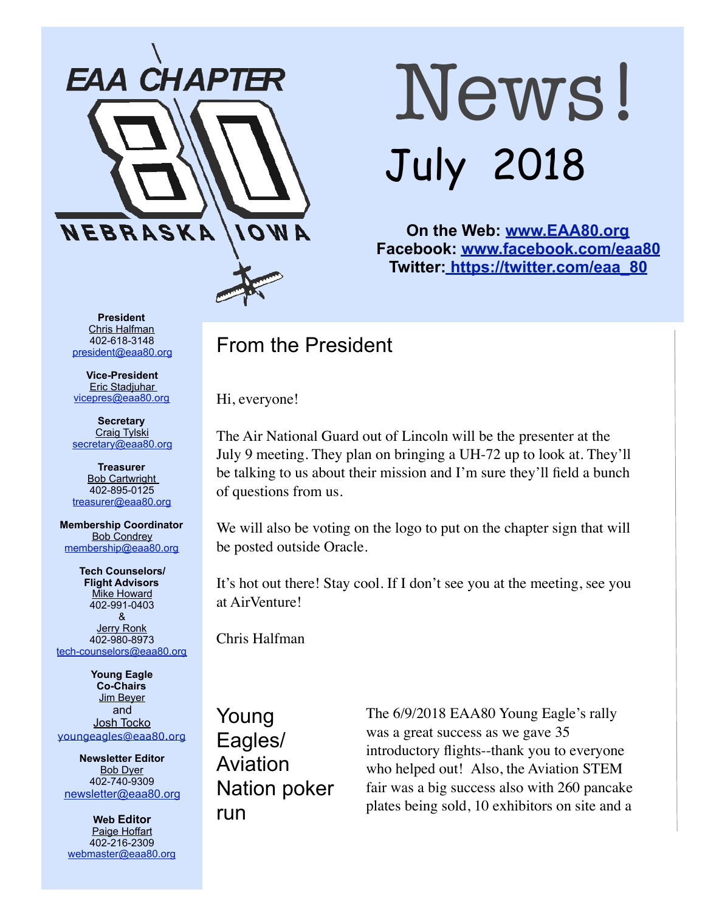

# News! July 2018

**On the Web: [www.EAA80.org](http://www.EAA80.org) Facebook: [www.facebook.com/eaa80](http://www.facebook.com/eaa80) Twitter[: https://twitter.com/eaa\\_80](https://twitter.com/eaa_80)**

**President**  Chris Halfman 402-618-3148 [president@eaa80.org](mailto:president@eaa80.org)

**Vice-President**  Eric Stadjuhar [vicepres@eaa80.org](mailto:vicepres@eaa80.org) 

**Secretary**  Craig Tylski [secretary@eaa80.org](mailto:secretary@eaa80.org)

**Treasurer**  Bob Cartwright 402-895-0125 [treasurer@eaa80.org](mailto:treasurer@eaa80.org)

**Membership Coordinator**  Bob Condrey [membership@eaa80.org](mailto:membership@eaa80.org) 

**Tech Counselors/ Flight Advisors**  Mike Howard 402-991-0403 & Jerry Ronk 402-980-8973 [tech-counselors@eaa80.org](mailto:tech-counselors@eaa80.org) 

**Young Eagle Co-Chairs**  Jim Beyer and Josh Tocko [youngeagles@eaa80.org](mailto:youngeagles@eaa80.org)

**Newsletter Editor**  Bob Dyer 402-740-9309 [newsletter@eaa80.org](mailto:newsletter@eaa80.org)

**Web Editor**  Paige Hoffart 402-216-2309 [webmaster@eaa80.org](mailto:webmaster@eaa80.org)

## From the President

Hi, everyone!

The Air National Guard out of Lincoln will be the presenter at the July 9 meeting. They plan on bringing a UH-72 up to look at. They'll be talking to us about their mission and I'm sure they'll field a bunch of questions from us.

We will also be voting on the logo to put on the chapter sign that will be posted outside Oracle.

It's hot out there! Stay cool. If I don't see you at the meeting, see you at AirVenture!

Chris Halfman

Young Eagles/ Aviation Nation poker run

The 6/9/2018 EAA80 Young Eagle's rally was a great success as we gave 35 introductory flights--thank you to everyone who helped out! Also, the Aviation STEM fair was a big success also with 260 pancake plates being sold, 10 exhibitors on site and a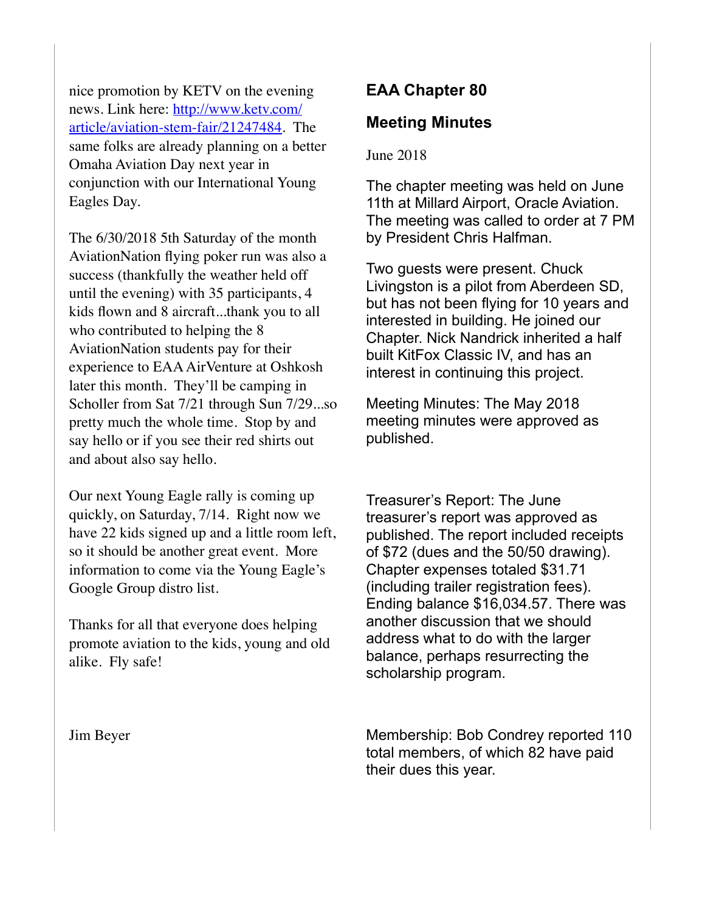nice promotion by KETV on the evening news. Link here: [http://www.ketv.com/](http://www.ketv.com/article/aviation-stem-fair/21247484) [article/aviation-stem-fair/21247484. Th](http://www.ketv.com/article/aviation-stem-fair/21247484)e same folks are already planning on a better Omaha Aviation Day next year in conjunction with our International Young Eagles Day.

The 6/30/2018 5th Saturday of the month AviationNation flying poker run was also a success (thankfully the weather held off until the evening) with 35 participants, 4 kids flown and 8 aircraft...thank you to all who contributed to helping the 8 AviationNation students pay for their experience to EAA AirVenture at Oshkosh later this month. They'll be camping in Scholler from Sat 7/21 through Sun 7/29...so pretty much the whole time. Stop by and say hello or if you see their red shirts out and about also say hello.

Our next Young Eagle rally is coming up quickly, on Saturday, 7/14. Right now we have 22 kids signed up and a little room left, so it should be another great event. More information to come via the Young Eagle's Google Group distro list.

Thanks for all that everyone does helping promote aviation to the kids, young and old alike. Fly safe!

#### Jim Beyer

## **EAA Chapter 80**

### **Meeting Minutes**

#### June 2018

The chapter meeting was held on June 11th at Millard Airport, Oracle Aviation. The meeting was called to order at 7 PM by President Chris Halfman.

Two guests were present. Chuck Livingston is a pilot from Aberdeen SD, but has not been flying for 10 years and interested in building. He joined our Chapter. Nick Nandrick inherited a half built KitFox Classic IV, and has an interest in continuing this project.

Meeting Minutes: The May 2018 meeting minutes were approved as published.

Treasurer's Report: The June treasurer's report was approved as published. The report included receipts of \$72 (dues and the 50/50 drawing). Chapter expenses totaled \$31.71 (including trailer registration fees). Ending balance \$16,034.57. There was another discussion that we should address what to do with the larger balance, perhaps resurrecting the scholarship program.

Membership: Bob Condrey reported 110 total members, of which 82 have paid their dues this year.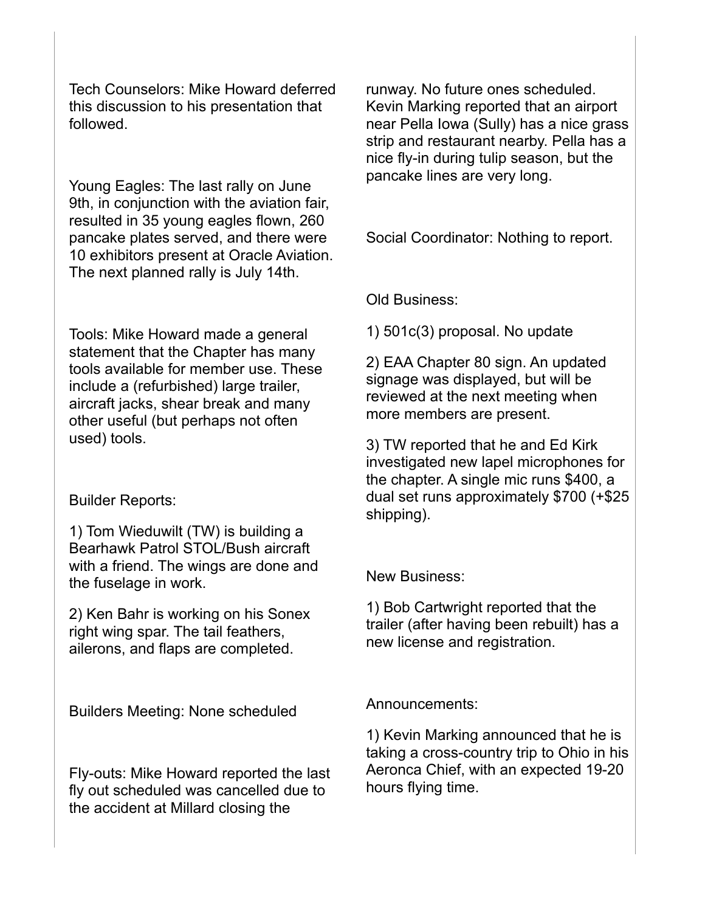Tech Counselors: Mike Howard deferred this discussion to his presentation that followed.

Young Eagles: The last rally on June 9th, in conjunction with the aviation fair, resulted in 35 young eagles flown, 260 pancake plates served, and there were 10 exhibitors present at Oracle Aviation. The next planned rally is July 14th.

Tools: Mike Howard made a general statement that the Chapter has many tools available for member use. These include a (refurbished) large trailer, aircraft jacks, shear break and many other useful (but perhaps not often used) tools.

#### Builder Reports:

1) Tom Wieduwilt (TW) is building a Bearhawk Patrol STOL/Bush aircraft with a friend. The wings are done and the fuselage in work.

2) Ken Bahr is working on his Sonex right wing spar. The tail feathers, ailerons, and flaps are completed.

Builders Meeting: None scheduled

Fly-outs: Mike Howard reported the last fly out scheduled was cancelled due to the accident at Millard closing the

runway. No future ones scheduled. Kevin Marking reported that an airport near Pella Iowa (Sully) has a nice grass strip and restaurant nearby. Pella has a nice fly-in during tulip season, but the pancake lines are very long.

Social Coordinator: Nothing to report.

Old Business:

1) 501c(3) proposal. No update

2) EAA Chapter 80 sign. An updated signage was displayed, but will be reviewed at the next meeting when more members are present.

3) TW reported that he and Ed Kirk investigated new lapel microphones for the chapter. A single mic runs \$400, a dual set runs approximately \$700 (+\$25 shipping).

New Business:

1) Bob Cartwright reported that the trailer (after having been rebuilt) has a new license and registration.

Announcements:

1) Kevin Marking announced that he is taking a cross-country trip to Ohio in his Aeronca Chief, with an expected 19-20 hours flying time.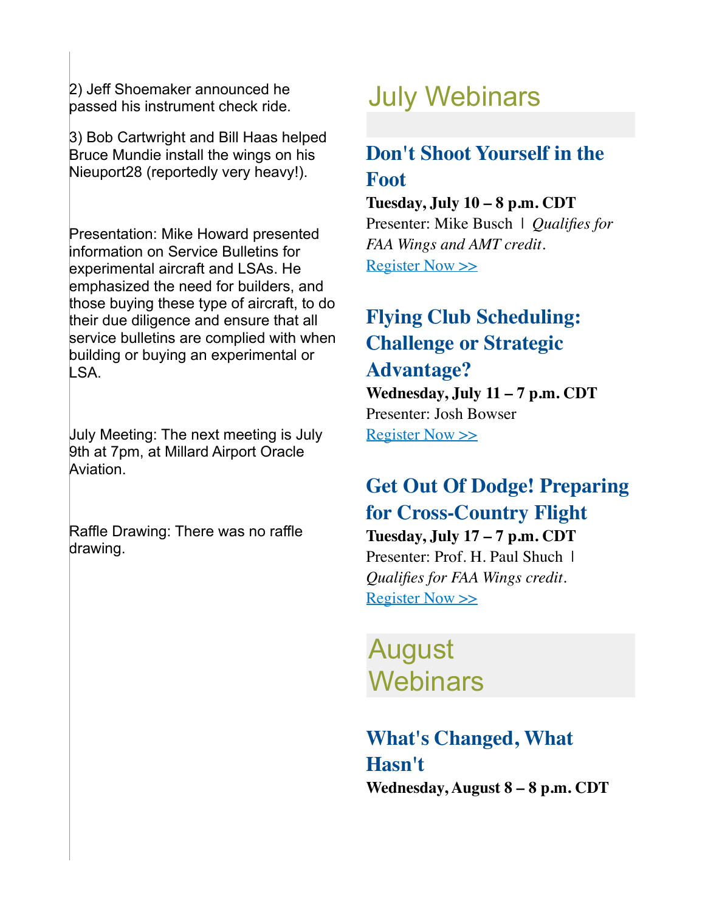2) Jeff Shoemaker announced he passed his instrument check ride.

3) Bob Cartwright and Bill Haas helped Bruce Mundie install the wings on his Nieuport28 (reportedly very heavy!).

Presentation: Mike Howard presented information on Service Bulletins for experimental aircraft and LSAs. He emphasized the need for builders, and those buying these type of aircraft, to do their due diligence and ensure that all service bulletins are complied with when building or buying an experimental or LSA.

July Meeting: The next meeting is July 9th at 7pm, at Millard Airport Oracle Aviation.

Raffle Drawing: There was no raffle drawing.

# July Webinars

# **Don't Shoot Yourself in the Foot**

#### **Tuesday, July 10 – 8 p.m. CDT**

Presenter: Mike Busch | *Qualifies for FAA Wings and AMT credit.* [Register Now >>](http://go.eaa.org/JE3BSV0B4U0Ksbm1OH00010)

# **Flying Club Scheduling: Challenge or Strategic**

## **Advantage?**

**Wednesday, July 11 – 7 p.m. CDT** Presenter: Josh Bowser [Register Now >>](http://go.eaa.org/jVtE043BS001m1HKUOC0b00)

## **Get Out Of Dodge! Preparing for Cross-Country Flight**

**Tuesday, July 17 – 7 p.m. CDT** Presenter: Prof. H. Paul Shuch | *Qualifies for FAA Wings credit.* [Register Now >>](http://go.eaa.org/K00V1SE00BbD3uOmH14K0U0)

# August **Webinars**

# **What's Changed, What Hasn't**

**Wednesday, August 8 – 8 p.m. CDT**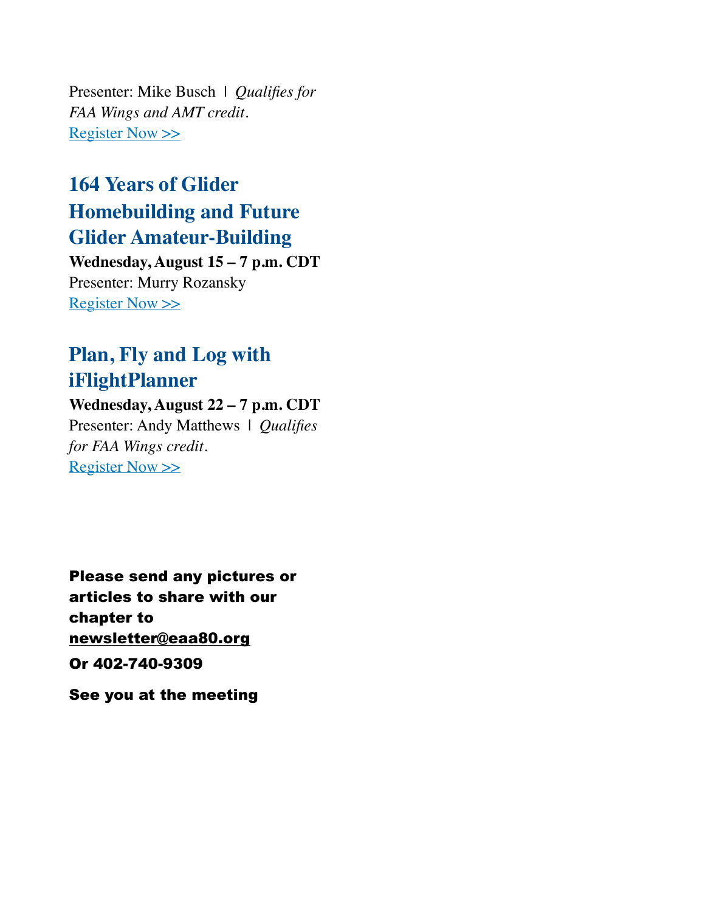Presenter: Mike Busch | *Qualifies for FAA Wings and AMT credit.* [Register Now >>](http://go.eaa.org/eK1mEU03000ESb0V14vBH0O)

# **164 Years of Glider Homebuilding and Future Glider Amateur-Building**

**Wednesday, August 15 – 7 p.m. CDT** Presenter: Murry Rozansky [Register Now >>](http://go.eaa.org/LV13UE0041Fb0SwmH0B0O0K)

## **Plan, Fly and Log with iFlightPlanner**

**Wednesday, August 22 – 7 p.m. CDT** Presenter: Andy Matthews | *Qualifies for FAA Wings credit.*

[Register Now >>](http://go.eaa.org/F4mEB00Gx1S0H3bV000UOK1)

Please send any pictures or articles to share with our chapter to [newsletter@eaa80.org](mailto:newsletter@eaa80.org) Or 402-740-9309

See you at the meeting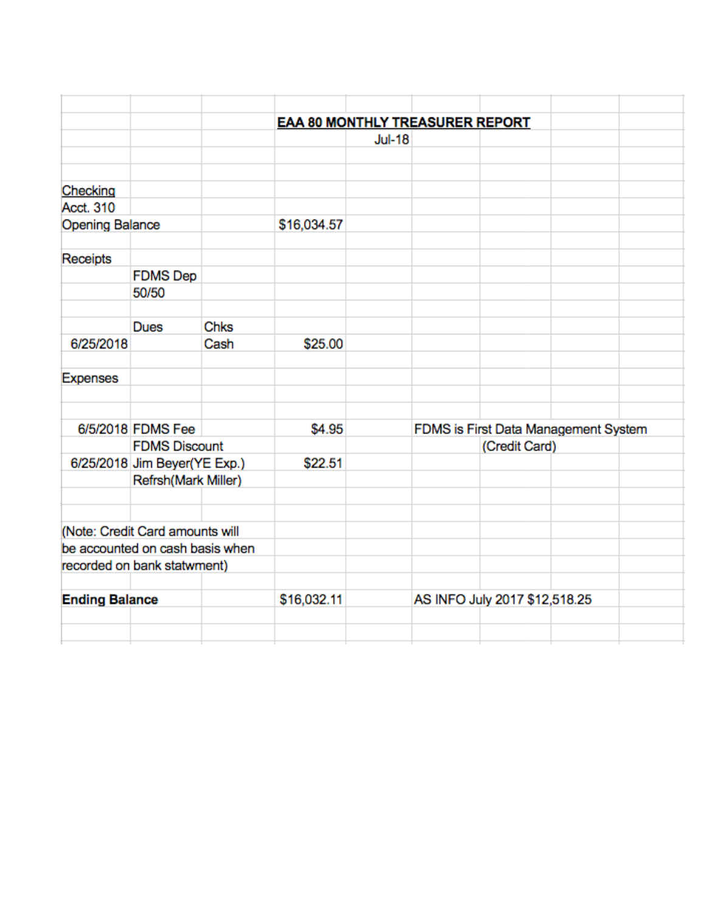|                        |                                 |                                                                               | <b>EAA 80 MONTHLY TREASURER REPORT</b> |               |                               |  |  |  |
|------------------------|---------------------------------|-------------------------------------------------------------------------------|----------------------------------------|---------------|-------------------------------|--|--|--|
|                        |                                 |                                                                               |                                        | <b>Jul-18</b> |                               |  |  |  |
|                        |                                 |                                                                               |                                        |               |                               |  |  |  |
|                        |                                 |                                                                               |                                        |               |                               |  |  |  |
| Checking               |                                 |                                                                               |                                        |               |                               |  |  |  |
| Acct. 310              |                                 |                                                                               |                                        |               |                               |  |  |  |
| <b>Opening Balance</b> |                                 | \$16,034.57                                                                   |                                        |               |                               |  |  |  |
| Receipts               |                                 |                                                                               |                                        |               |                               |  |  |  |
|                        | <b>FDMS Dep</b>                 |                                                                               |                                        |               |                               |  |  |  |
|                        | 50/50                           |                                                                               |                                        |               |                               |  |  |  |
|                        |                                 |                                                                               |                                        |               |                               |  |  |  |
|                        | <b>Dues</b>                     | Chks                                                                          |                                        |               |                               |  |  |  |
| 6/25/2018              |                                 | Cash                                                                          | \$25.00                                |               |                               |  |  |  |
| <b>Expenses</b>        |                                 |                                                                               |                                        |               |                               |  |  |  |
|                        |                                 |                                                                               |                                        |               |                               |  |  |  |
|                        | 6/5/2018 FDMS Fee               |                                                                               | \$4.95                                 |               |                               |  |  |  |
|                        |                                 | FDMS is First Data Management System<br><b>FDMS Discount</b><br>(Credit Card) |                                        |               |                               |  |  |  |
|                        | 6/25/2018 Jim Beyer(YE Exp.)    |                                                                               | \$22.51                                |               |                               |  |  |  |
|                        | Refrsh(Mark Miller)             |                                                                               |                                        |               |                               |  |  |  |
|                        |                                 |                                                                               |                                        |               |                               |  |  |  |
|                        | (Note: Credit Card amounts will |                                                                               |                                        |               |                               |  |  |  |
|                        | be accounted on cash basis when |                                                                               |                                        |               |                               |  |  |  |
|                        | recorded on bank statwment)     |                                                                               |                                        |               |                               |  |  |  |
|                        |                                 |                                                                               |                                        |               |                               |  |  |  |
| <b>Ending Balance</b>  |                                 | \$16,032.11                                                                   |                                        |               | AS INFO July 2017 \$12,518.25 |  |  |  |
|                        |                                 |                                                                               |                                        |               |                               |  |  |  |
|                        |                                 |                                                                               |                                        |               |                               |  |  |  |